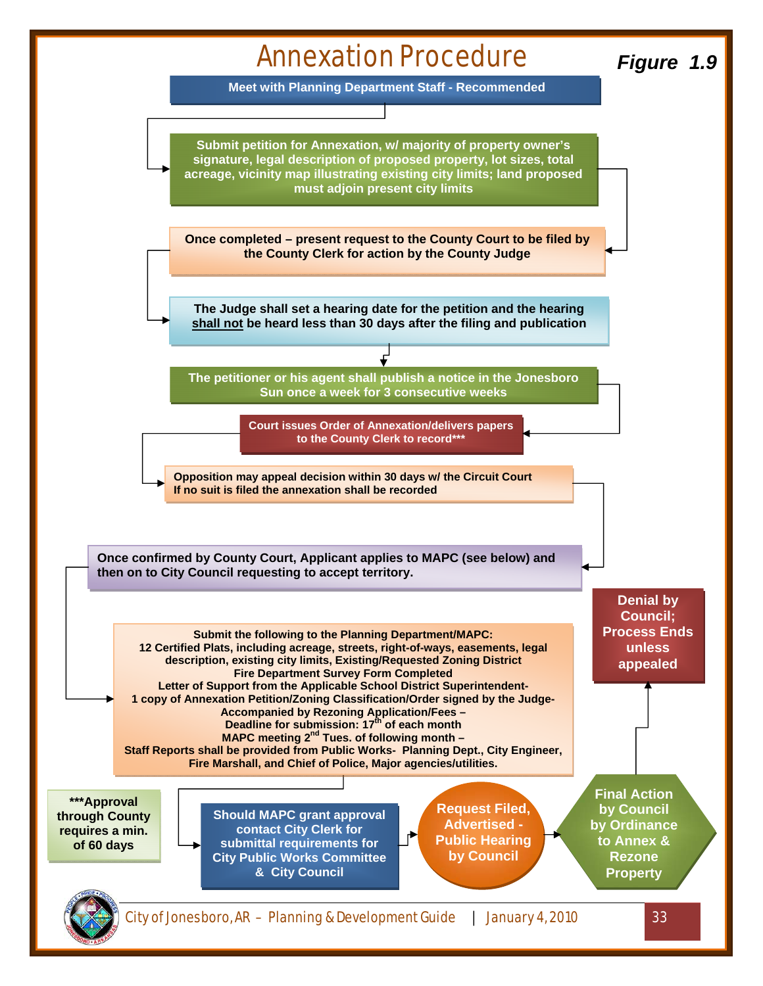

**Meet with Planning Department Staff - Recommended** 

**Submit petition for Annexation, w/ majority of property owner's signature, legal description of proposed property, lot sizes, total acreage, vicinity map illustrating existing city limits; land proposed must adjoin present city limits** 

**Once completed – present request to the County Court to be filed by the County Clerk for action by the County Judge** 

**The Judge shall set a hearing date for the petition and the hearing shall not be heard less than 30 days after the filing and publication** 

**The petitioner or his agent shall publish a notice in the Jonesboro Sun once a week for 3 consecutive weeks**

> **Court issues Order of Annexation/delivers papers to the County Clerk to record\*\*\***

**Opposition may appeal decision within 30 days w/ the Circuit Court If no suit is filed the annexation shall be recorded**

**Once confirmed by County Court, Applicant applies to MAPC (see below) and then on to City Council requesting to accept territory.** 

**Submit the following to the Planning Department/MAPC: 12 Certified Plats, including acreage, streets, right-of-ways, easements, legal description, existing city limits, Existing/Requested Zoning District Fire Department Survey Form Completed Letter of Support from the Applicable School District Superintendent-1 copy of Annexation Petition/Zoning Classification/Order signed by the Judge-Accompanied by Rezoning Application/Fees – Deadline for submission: 17<sup>th</sup> of each month** 

**MAPC meeting 2<sup>nd</sup> Tues. of following month -Staff Reports shall be provided from Public Works- Planning Dept., City Engineer, Fire Marshall, and Chief of Police, Major agencies/utilities.**

**\*\*\*Approval through County requires a min. of 60 days** 

**Should MAPC grant approval contact City Clerk for submittal requirements for City Public Works Committee & City Council** 

**Request Filed, Advertised - Public Hearing by Council** 

**Final Action by Council by Ordinance to Annex & Rezone Property** 

**Denial by Council; Process Ends unless appealed** 

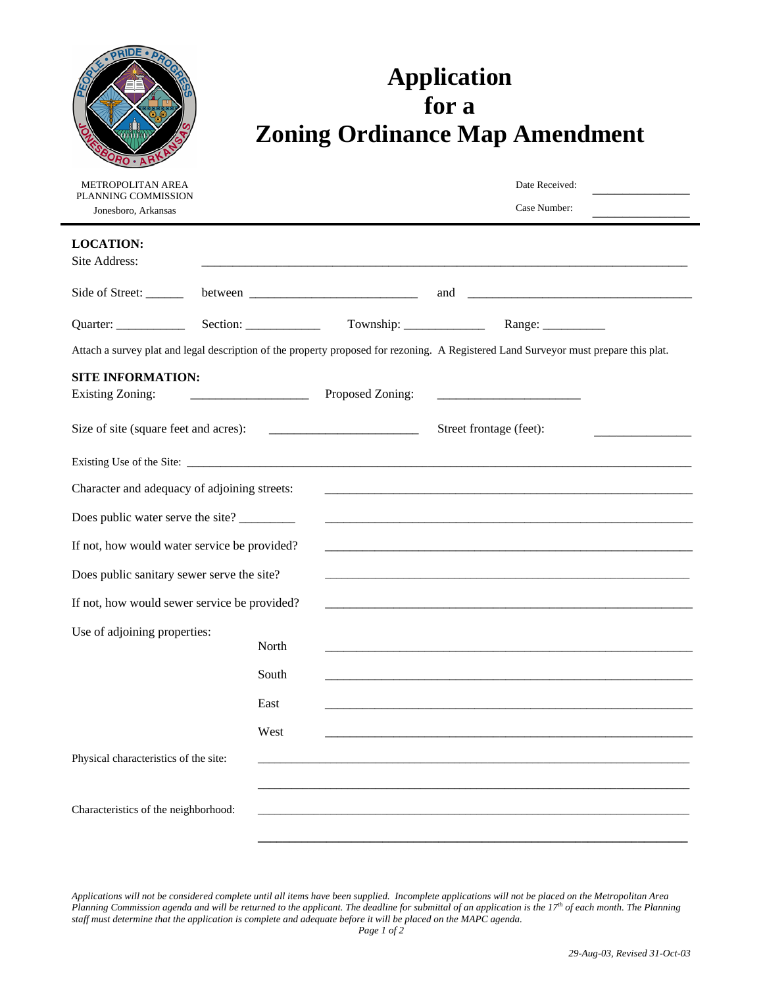# **Application for a Zoning Ordinance Map Amendment**

| <b>METROPOLITAN AREA</b><br>PLANNING COMMISSION |       |                  | Date Received:                                                                                                                       |  |
|-------------------------------------------------|-------|------------------|--------------------------------------------------------------------------------------------------------------------------------------|--|
| Jonesboro, Arkansas                             |       |                  | Case Number:                                                                                                                         |  |
| <b>LOCATION:</b><br>Site Address:               |       |                  |                                                                                                                                      |  |
| Side of Street:                                 |       |                  |                                                                                                                                      |  |
|                                                 |       |                  |                                                                                                                                      |  |
|                                                 |       |                  | Attach a survey plat and legal description of the property proposed for rezoning. A Registered Land Surveyor must prepare this plat. |  |
| <b>SITE INFORMATION:</b>                        |       |                  |                                                                                                                                      |  |
| <b>Existing Zoning:</b>                         |       | Proposed Zoning: |                                                                                                                                      |  |
| Size of site (square feet and acres):           |       |                  | Street frontage (feet):                                                                                                              |  |
|                                                 |       |                  |                                                                                                                                      |  |
| Character and adequacy of adjoining streets:    |       |                  |                                                                                                                                      |  |
| Does public water serve the site?               |       |                  | <u> Terminal de la construcción de la construcción de la construcción de la construcción de la construcción de la</u>                |  |
| If not, how would water service be provided?    |       |                  |                                                                                                                                      |  |
| Does public sanitary sewer serve the site?      |       |                  | and the control of the control of the control of the control of the control of the control of the control of the                     |  |
| If not, how would sewer service be provided?    |       |                  |                                                                                                                                      |  |
| Use of adjoining properties:                    | North |                  |                                                                                                                                      |  |
|                                                 | South |                  | <u> 1989 - Johann Stoff, deutscher Stoff, der Stoff, der Stoff, der Stoff, der Stoff, der Stoff, der Stoff, der S</u>                |  |
|                                                 | East  |                  |                                                                                                                                      |  |
|                                                 | West  |                  |                                                                                                                                      |  |
| Physical characteristics of the site:           |       |                  |                                                                                                                                      |  |
|                                                 |       |                  |                                                                                                                                      |  |
| Characteristics of the neighborhood:            |       |                  |                                                                                                                                      |  |
|                                                 |       |                  |                                                                                                                                      |  |

*Applications will not be considered complete until all items have been supplied. Incomplete applications will not be placed on the Metropolitan Area Planning Commission agenda and will be returned to the applicant. The deadline for submittal of an application is the 17th of each month. The Planning staff must determine that the application is complete and adequate before it will be placed on the MAPC agenda.*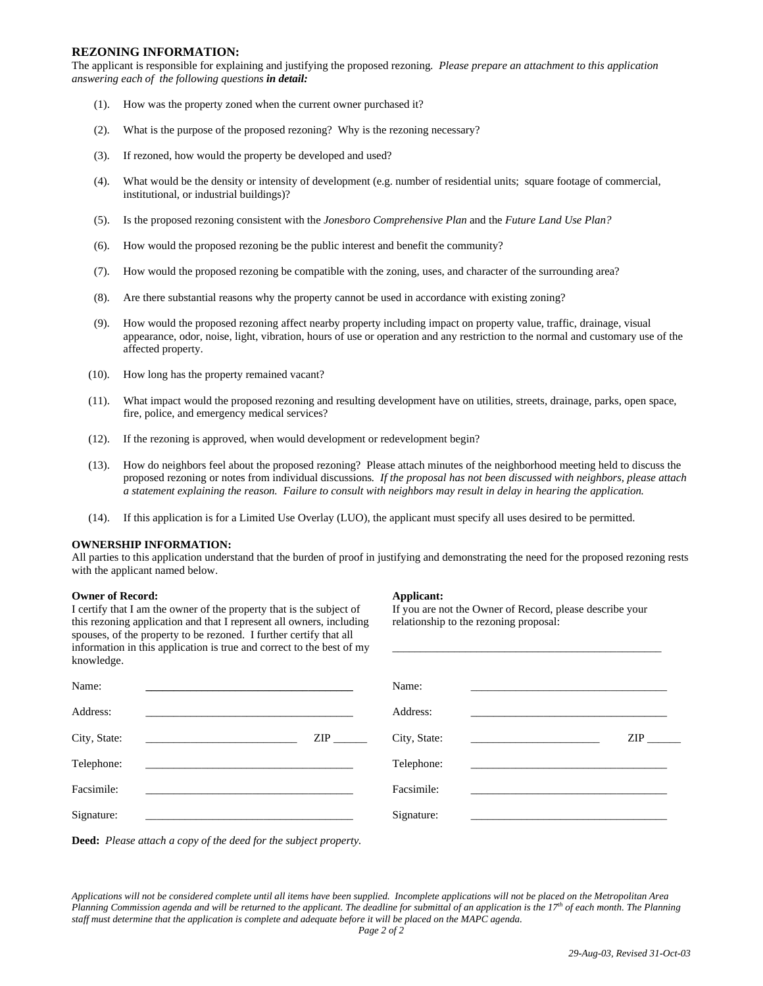## **REZONING INFORMATION:**

The applicant is responsible for explaining and justifying the proposed rezoning*. Please prepare an attachment to this application answering each of the following questions in detail:*

- (1). How was the property zoned when the current owner purchased it?
- (2). What is the purpose of the proposed rezoning? Why is the rezoning necessary?
- (3). If rezoned, how would the property be developed and used?
- (4). What would be the density or intensity of development (e.g. number of residential units; square footage of commercial, institutional, or industrial buildings)?
- (5). Is the proposed rezoning consistent with the *Jonesboro Comprehensive Plan* and the *Future Land Use Plan?*
- (6). How would the proposed rezoning be the public interest and benefit the community?
- (7). How would the proposed rezoning be compatible with the zoning, uses, and character of the surrounding area?
- (8). Are there substantial reasons why the property cannot be used in accordance with existing zoning?
- (9). How would the proposed rezoning affect nearby property including impact on property value, traffic, drainage, visual appearance, odor, noise, light, vibration, hours of use or operation and any restriction to the normal and customary use of the affected property.
- (10). How long has the property remained vacant?
- (11). What impact would the proposed rezoning and resulting development have on utilities, streets, drainage, parks, open space, fire, police, and emergency medical services?
- (12). If the rezoning is approved, when would development or redevelopment begin?
- (13). How do neighbors feel about the proposed rezoning? Please attach minutes of the neighborhood meeting held to discuss the proposed rezoning or notes from individual discussions*. If the proposal has not been discussed with neighbors, please attach a statement explaining the reason. Failure to consult with neighbors may result in delay in hearing the application.*
- (14). If this application is for a Limited Use Overlay (LUO), the applicant must specify all uses desired to be permitted.

#### **OWNERSHIP INFORMATION:**

All parties to this application understand that the burden of proof in justifying and demonstrating the need for the proposed rezoning rests with the applicant named below.

### **Owner of Record: Applicant: Applicant:**

I certify that I am the owner of the property that is the subject of this rezoning application and that I represent all owners, including spouses, of the property to be rezoned. I further certify that all information in this application is true and correct to the best of my knowledge.

If you are not the Owner of Record, please describe your relationship to the rezoning proposal:

\_\_\_\_\_\_\_\_\_\_\_\_\_\_\_\_\_\_\_\_\_\_\_\_\_\_\_\_\_\_\_\_\_\_\_\_\_\_\_\_\_\_\_\_\_\_\_\_

| knowledge.                                                                                                                            |     |              |                                                                                                                       |     |
|---------------------------------------------------------------------------------------------------------------------------------------|-----|--------------|-----------------------------------------------------------------------------------------------------------------------|-----|
| Name:                                                                                                                                 |     | Name:        |                                                                                                                       |     |
| Address:                                                                                                                              |     | Address:     |                                                                                                                       |     |
| City, State:<br><u> 1989 - Johann Harry Harry Harry Harry Harry Harry Harry Harry Harry Harry Harry Harry Harry Harry Harry Harry</u> | ZIP | City, State: |                                                                                                                       | ZIP |
| Telephone:                                                                                                                            |     | Telephone:   |                                                                                                                       |     |
| Facsimile:                                                                                                                            |     | Facsimile:   | <u> 1980 - Jan Bernard Bernard, mars and de la partie de la partie de la partie de la partie de la partie de la p</u> |     |
| Signature:                                                                                                                            |     | Signature:   |                                                                                                                       |     |
|                                                                                                                                       |     |              |                                                                                                                       |     |

**Deed:** *Please attach a copy of the deed for the subject property.*

*Applications will not be considered complete until all items have been supplied. Incomplete applications will not be placed on the Metropolitan Area Planning Commission agenda and will be returned to the applicant. The deadline for submittal of an application is the 17th of each month. The Planning staff must determine that the application is complete and adequate before it will be placed on the MAPC agenda.*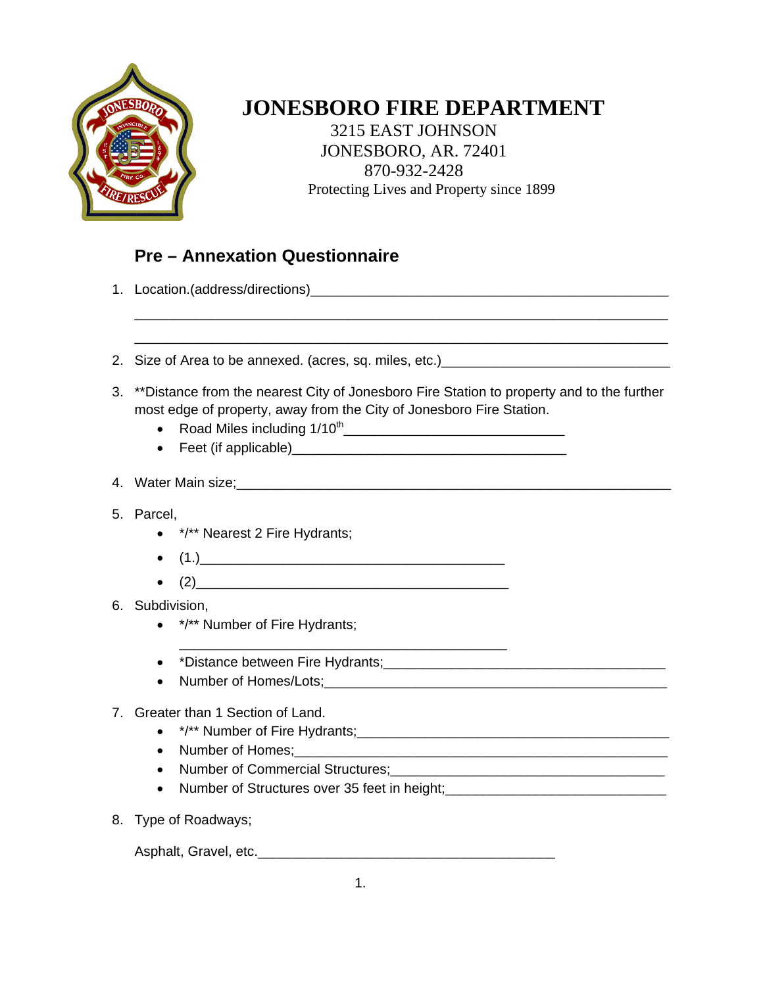

## **JONESBORO FIRE DEPARTMENT**

 3215 EAST JOHNSON JONESBORO, AR. 72401 870-932-2428 Protecting Lives and Property since 1899

## **Pre – Annexation Questionnaire**

- 1. Location.(address/directions)\_\_\_\_\_\_\_\_\_\_\_\_\_\_\_\_\_\_\_\_\_\_\_\_\_\_\_\_\_\_\_\_\_\_\_\_\_\_\_\_\_\_\_\_\_\_\_
- 2. Size of Area to be annexed. (acres, sq. miles, etc.)
- 3. \*\*Distance from the nearest City of Jonesboro Fire Station to property and to the further most edge of property, away from the City of Jonesboro Fire Station.

\_\_\_\_\_\_\_\_\_\_\_\_\_\_\_\_\_\_\_\_\_\_\_\_\_\_\_\_\_\_\_\_\_\_\_\_\_\_\_\_\_\_\_\_\_\_\_\_\_\_\_\_\_\_\_\_\_\_\_\_\_\_\_\_\_\_\_\_\_\_ \_\_\_\_\_\_\_\_\_\_\_\_\_\_\_\_\_\_\_\_\_\_\_\_\_\_\_\_\_\_\_\_\_\_\_\_\_\_\_\_\_\_\_\_\_\_\_\_\_\_\_\_\_\_\_\_\_\_\_\_\_\_\_\_\_\_\_\_\_\_

- Road Miles including  $1/10^{th}$
- Feet (if applicable)\_\_\_\_\_\_\_\_\_\_\_\_\_\_\_\_\_\_\_\_\_\_\_\_\_\_\_\_\_\_\_\_\_\_\_\_

## 4. Water Main size;\_\_\_\_\_\_\_\_\_\_\_\_\_\_\_\_\_\_\_\_\_\_\_\_\_\_\_\_\_\_\_\_\_\_\_\_\_\_\_\_\_\_\_\_\_\_\_\_\_\_\_\_\_\_\_\_\_

- 5. Parcel,
	- \*/\*\* Nearest 2 Fire Hydrants;
	- $(1.)$
	- $(2)$
- 6. Subdivision,
	- \*/\*\* Number of Fire Hydrants;
	- \*Distance between Fire Hydrants;\_\_\_\_\_\_\_\_\_\_\_\_\_\_\_\_\_\_\_\_\_\_\_\_\_\_\_\_\_\_\_\_\_\_\_\_\_
	- Number of Homes/Lots;

## 7. Greater than 1 Section of Land.

- $*$ /\*\* Number of Fire Hydrants;  $*$
- Number of Homes;\_\_\_\_\_\_\_\_\_\_\_\_\_\_\_\_\_\_\_\_\_\_\_\_\_\_\_\_\_\_\_\_\_\_\_\_\_\_\_\_\_\_\_\_\_\_\_\_\_
- Number of Commercial Structures;<br>
and the contract of Commercial Structures;<br>
and the contract of commercial structures;<br>
and the contract of contract of contract of contract of contract of contract of contract of contra
- Number of Structures over 35 feet in height;<br>
and the summan and the summan and the summan and the structure of the structure of the structure of the structure of the structure of the structure of the structure of the st
- 8. Type of Roadways;

Asphalt, Gravel, etc.\_\_\_\_\_\_\_\_\_\_\_\_\_\_\_\_\_\_\_\_\_\_\_\_\_\_\_\_\_\_\_\_\_\_\_\_\_\_\_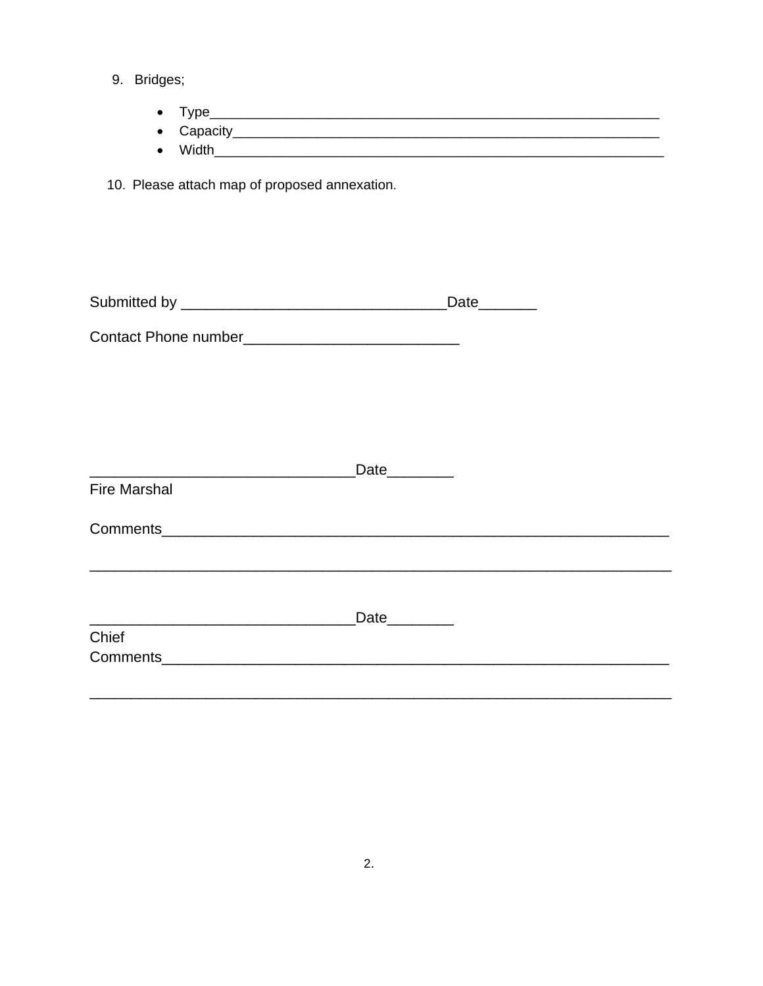9. Bridges;

- 
- 
- 

10. Please attach map of proposed annexation.

|                                                    |                  | Date_______ |  |
|----------------------------------------------------|------------------|-------------|--|
| Contact Phone number______________________________ |                  |             |  |
|                                                    |                  |             |  |
|                                                    |                  |             |  |
|                                                    |                  |             |  |
|                                                    | Date________     |             |  |
| <b>Fire Marshal</b>                                |                  |             |  |
|                                                    |                  |             |  |
|                                                    |                  |             |  |
|                                                    |                  |             |  |
|                                                    | Date <b>Date</b> |             |  |
| Chief                                              |                  |             |  |
|                                                    |                  |             |  |
|                                                    |                  |             |  |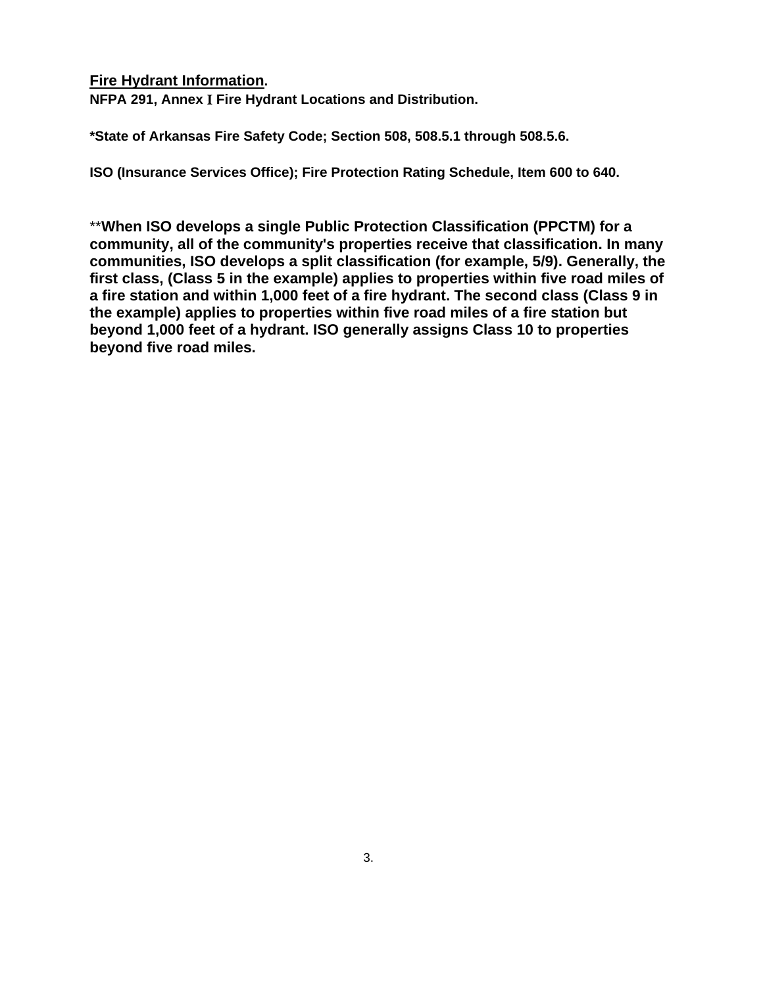## **Fire Hydrant Information.**

**NFPA 291, Annex** I **Fire Hydrant Locations and Distribution.** 

**\*State of Arkansas Fire Safety Code; Section 508, 508.5.1 through 508.5.6.** 

**ISO (Insurance Services Office); Fire Protection Rating Schedule, Item 600 to 640.** 

\*\***When ISO develops a single Public Protection Classification (PPCTM) for a community, all of the community's properties receive that classification. In many communities, ISO develops a split classification (for example, 5/9). Generally, the first class, (Class 5 in the example) applies to properties within five road miles of a fire station and within 1,000 feet of a fire hydrant. The second class (Class 9 in the example) applies to properties within five road miles of a fire station but beyond 1,000 feet of a hydrant. ISO generally assigns Class 10 to properties beyond five road miles.**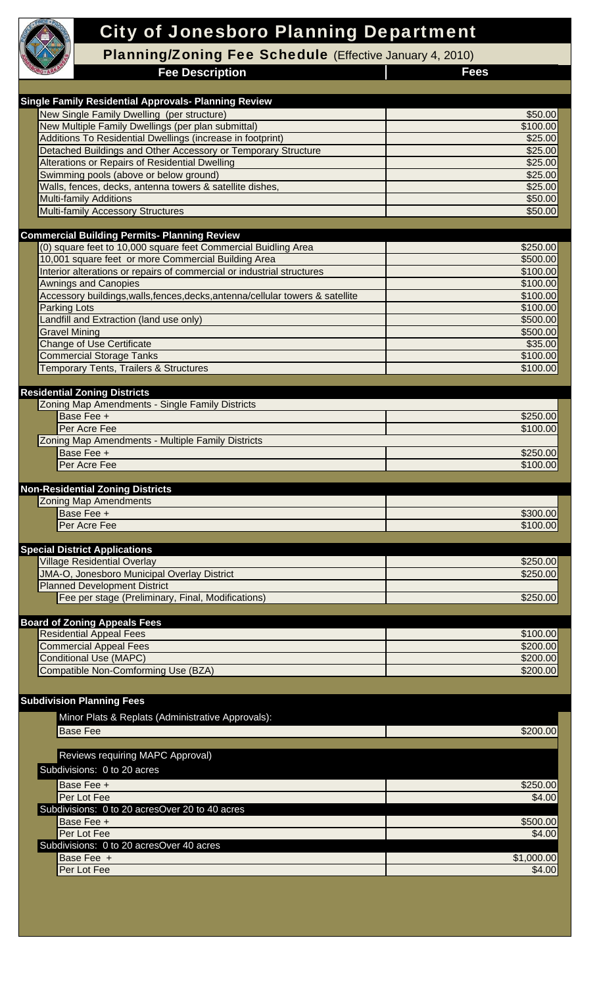

# City of Jonesboro Planning Department

Planning/Zoning Fee Schedule (Effective January 4, 2010)

**Fee Description**

 **Fees**

| <b>Single Family Residential Approvals- Planning Review</b>                               |                      |
|-------------------------------------------------------------------------------------------|----------------------|
| New Single Family Dwelling (per structure)                                                | \$50.00              |
| New Multiple Family Dwellings (per plan submittal)                                        | \$100.00             |
| Additions To Residential Dwellings (increase in footprint)                                | \$25.00              |
| Detached Buildings and Other Accessory or Temporary Structure                             | \$25.00              |
| Alterations or Repairs of Residential Dwelling                                            | \$25.00              |
| Swimming pools (above or below ground)                                                    | \$25.00              |
| Walls, fences, decks, antenna towers & satellite dishes.<br><b>Multi-family Additions</b> | \$25.00              |
| <b>Multi-family Accessory Structures</b>                                                  | \$50.00<br>\$50.00   |
|                                                                                           |                      |
| <b>Commercial Building Permits- Planning Review</b>                                       |                      |
| (0) square feet to 10,000 square feet Commercial Buidling Area                            | \$250.00             |
| 10,001 square feet or more Commercial Building Area                                       | \$500.00             |
| Interior alterations or repairs of commercial or industrial structures                    | \$100.00             |
| <b>Awnings and Canopies</b>                                                               | \$100.00             |
| Accessory buildings, walls, fences, decks, antenna/cellular towers & satellite            | \$100.00             |
| <b>Parking Lots</b>                                                                       | \$100.00             |
| Landfill and Extraction (land use only)                                                   | \$500.00             |
| <b>Gravel Mining</b>                                                                      | \$500.00             |
| <b>Change of Use Certificate</b>                                                          | \$35.00              |
| <b>Commercial Storage Tanks</b>                                                           | \$100.00             |
| <b>Temporary Tents, Trailers &amp; Structures</b>                                         | \$100.00             |
| <b>Residential Zoning Districts</b>                                                       |                      |
| Zoning Map Amendments - Single Family Districts                                           |                      |
| Base Fee +                                                                                | \$250.00             |
| Per Acre Fee                                                                              | \$100.00             |
| Zoning Map Amendments - Multiple Family Districts                                         |                      |
| Base Fee +                                                                                | \$250.00             |
| Per Acre Fee                                                                              | \$100.00             |
|                                                                                           |                      |
|                                                                                           |                      |
| <b>Non-Residential Zoning Districts</b>                                                   |                      |
| <b>Zoning Map Amendments</b>                                                              |                      |
| Base Fee +                                                                                | \$300.00             |
| Per Acre Fee                                                                              | \$100.00             |
|                                                                                           |                      |
| <b>Special District Applications</b><br><b>Village Residential Overlay</b>                | \$250.00             |
| <b>JMA-O, Jonesboro Municipal Overlay District</b>                                        | \$250.00             |
| <b>Planned Development District</b>                                                       |                      |
| Fee per stage (Preliminary, Final, Modifications)                                         | \$250.00             |
|                                                                                           |                      |
| <b>Board of Zoning Appeals Fees</b>                                                       |                      |
| <b>Residential Appeal Fees</b>                                                            | \$100.00             |
| <b>Commercial Appeal Fees</b>                                                             | \$200.00             |
| <b>Conditional Use (MAPC)</b>                                                             | \$200.00             |
| Compatible Non-Comforming Use (BZA)                                                       | \$200.00             |
|                                                                                           |                      |
| <b>Subdivision Planning Fees</b>                                                          |                      |
| Minor Plats & Replats (Administrative Approvals):                                         |                      |
| <b>Base Fee</b>                                                                           | \$200.00             |
|                                                                                           |                      |
| Reviews requiring MAPC Approval)                                                          |                      |
| Subdivisions: 0 to 20 acres                                                               |                      |
| Base Fee +                                                                                | \$250.00             |
| Per Lot Fee                                                                               | \$4.00               |
| Subdivisions: 0 to 20 acresOver 20 to 40 acres                                            |                      |
| Base Fee +                                                                                | \$500.00             |
| Per Lot Fee                                                                               | \$4.00               |
| Subdivisions: 0 to 20 acresOver 40 acres                                                  |                      |
| Base Fee +<br>Per Lot Fee                                                                 | \$1,000.00<br>\$4.00 |